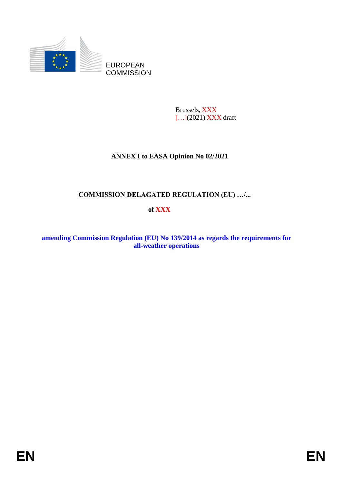

Brussels, XXX [...](2021) XXX draft

# **ANNEX I to EASA Opinion No 02/2021**

# **COMMISSION DELAGATED REGULATION (EU) …/...**

# **of XXX**

**amending Commission Regulation (EU) No 139/2014 as regards the requirements for all-weather operations**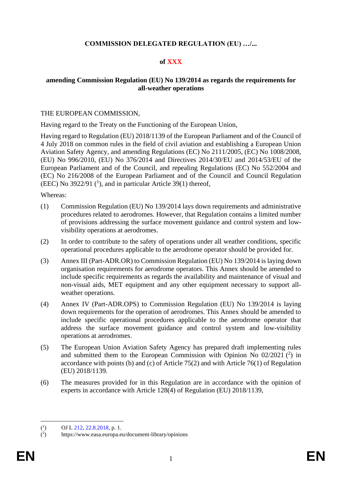## **COMMISSION DELEGATED REGULATION (EU) …/...**

### **of XXX**

### **amending Commission Regulation (EU) No 139/2014 as regards the requirements for all-weather operations**

#### THE EUROPEAN COMMISSION,

Having regard to the Treaty on the Functioning of the European Union,

Having regard to Regulation (EU) 2018/1139 of the European Parliament and of the Council of 4 July 2018 on common rules in the field of civil aviation and establishing a European Union Aviation Safety Agency, and amending Regulations (EC) No 2111/2005, (EC) No 1008/2008, (EU) No 996/2010, (EU) No 376/2014 and Directives 2014/30/EU and 2014/53/EU of the European Parliament and of the Council, and repealing Regulations (EC) No 552/2004 and (EC) No 216/2008 of the European Parliament and of the Council and Council Regulation (EEC) No  $3922/91$  (<sup>1</sup>), and in particular Article 39(1) thereof,

Whereas:

- (1) Commission Regulation (EU) No 139/2014 lays down requirements and administrative procedures related to aerodromes. However, that Regulation contains a limited number of provisions addressing the surface movement guidance and control system and lowvisibility operations at aerodromes.
- (2) In order to contribute to the safety of operations under all weather conditions, specific operational procedures applicable to the aerodrome operator should be provided for.
- (3) Annex III (Part-ADR.OR) to Commission Regulation (EU) No 139/2014 is laying down organisation requirements for aerodrome operators. This Annex should be amended to include specific requirements as regards the availability and maintenance of visual and non-visual aids, MET equipment and any other equipment necessary to support allweather operations.
- (4) Annex IV (Part-ADR.OPS) to Commission Regulation (EU) No 139/2014 is laying down requirements for the operation of aerodromes. This Annex should be amended to include specific operational procedures applicable to the aerodrome operator that address the surface movement guidance and control system and low-visibility operations at aerodromes.
- (5) The European Union Aviation Safety Agency has prepared draft implementing rules and submitted them to the European Commission with Opinion No  $02/2021$  ( $^2$ ) in accordance with points (b) and (c) of Article 75(2) and with Article 76(1) of Regulation (EU) 2018/1139.
- (6) The measures provided for in this Regulation are in accordance with the opinion of experts in accordance with Article 128(4) of Regulation (EU) 2018/1139,

 $(^1$ ) OJ L 212, 22.8.2018, p. 1.

 $($ <sup>2</sup> ) https://www.easa.europa.eu/document-library/opinions